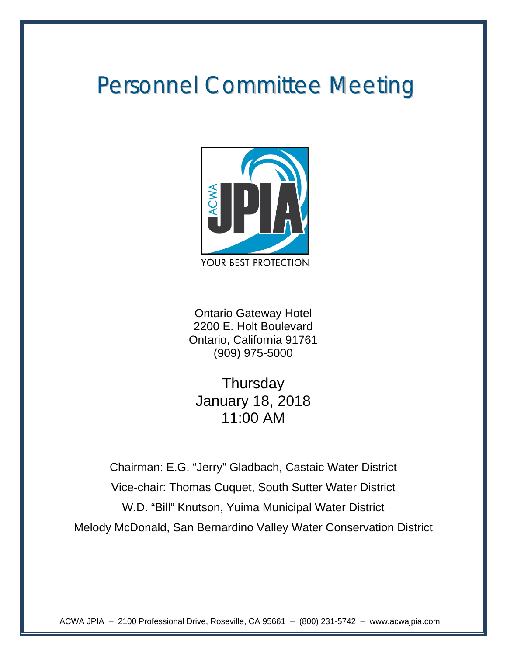# Personnel Committee Meeting



Ontario Gateway Hotel 2200 E. Holt Boulevard Ontario, California 91761 (909) 975-5000

**Thursday** January 18, 2018 11:00 AM

Chairman: E.G. "Jerry" Gladbach, Castaic Water District Vice-chair: Thomas Cuquet, South Sutter Water District W.D. "Bill" Knutson, Yuima Municipal Water District Melody McDonald, San Bernardino Valley Water Conservation District

ACWA JPIA – 2100 Professional Drive, Roseville, CA 95661 – (800) 231-5742 – www.acwajpia.com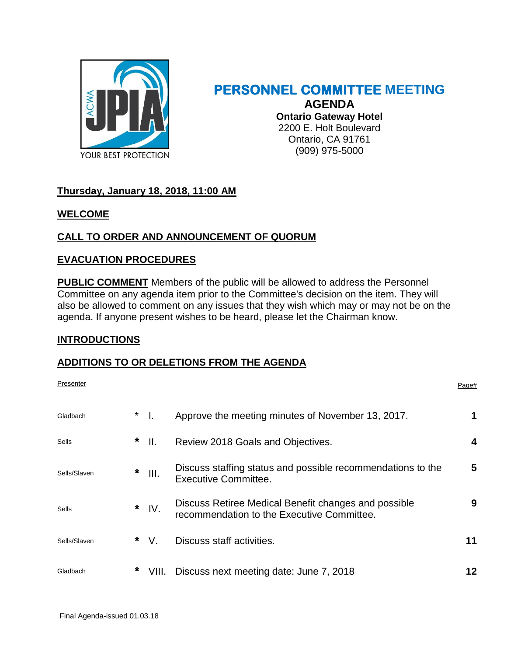

## **PERSONNEL COMMITTEE MEETING AGENDA Ontario Gateway Hotel** 2200 E. Holt Boulevard Ontario, CA 91761 (909) 975-5000

## **Thursday, January 18, 2018, 11:00 AM**

## **WELCOME**

## **CALL TO ORDER AND ANNOUNCEMENT OF QUORUM**

## **EVACUATION PROCEDURES**

**PUBLIC COMMENT** Members of the public will be allowed to address the Personnel Committee on any agenda item prior to the Committee's decision on the item. They will also be allowed to comment on any issues that they wish which may or may not be on the agenda. If anyone present wishes to be heard, please let the Chairman know.

## **INTRODUCTIONS**

## **ADDITIONS TO OR DELETIONS FROM THE AGENDA**

| Presenter    |         |       |                                                                                                    | Page# |
|--------------|---------|-------|----------------------------------------------------------------------------------------------------|-------|
| Gladbach     | $\star$ | Π.    | Approve the meeting minutes of November 13, 2017.                                                  |       |
| <b>Sells</b> | *       | II.   | Review 2018 Goals and Objectives.                                                                  | 4     |
| Sells/Slaven | *       | III.  | Discuss staffing status and possible recommendations to the<br>Executive Committee.                | 5     |
| <b>Sells</b> | $\star$ | IV.   | Discuss Retiree Medical Benefit changes and possible<br>recommendation to the Executive Committee. | 9     |
| Sells/Slaven | *       | V.    | Discuss staff activities.                                                                          | 11    |
| Gladbach     | *       | VIII. | Discuss next meeting date: June 7, 2018                                                            | 12    |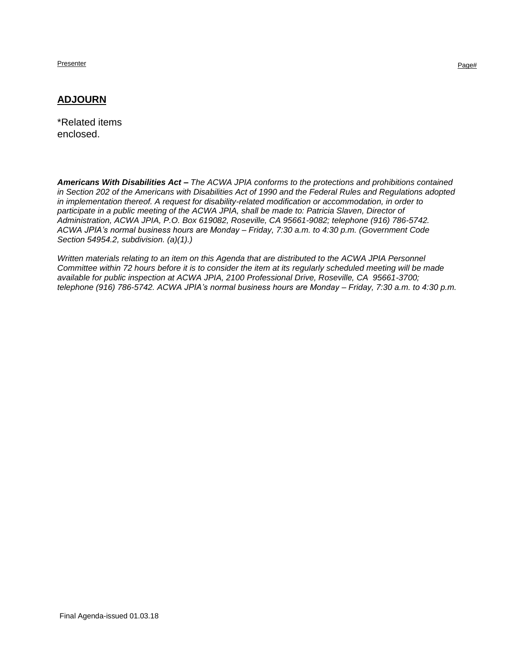Presenter Presenter Page# Page# Page Presenter Page Page Presenter Page Page Presenter Page Page Presenter Page Presenter Page Presenter Page Presenter Page Presenter Page Presenter Page Presenter Page Presenter Presenter

#### **ADJOURN**

\*Related items enclosed.

*Americans With Disabilities Act – The ACWA JPIA conforms to the protections and prohibitions contained in Section 202 of the Americans with Disabilities Act of 1990 and the Federal Rules and Regulations adopted in implementation thereof. A request for disability-related modification or accommodation, in order to participate in a public meeting of the ACWA JPIA, shall be made to: Patricia Slaven, Director of Administration, ACWA JPIA, P.O. Box 619082, Roseville, CA 95661-9082; telephone (916) 786-5742. ACWA JPIA's normal business hours are Monday – Friday, 7:30 a.m. to 4:30 p.m. (Government Code Section 54954.2, subdivision. (a)(1).)*

*Written materials relating to an item on this Agenda that are distributed to the ACWA JPIA Personnel Committee within 72 hours before it is to consider the item at its regularly scheduled meeting will be made available for public inspection at ACWA JPIA, 2100 Professional Drive, Roseville, CA 95661-3700; telephone (916) 786-5742. ACWA JPIA's normal business hours are Monday – Friday, 7:30 a.m. to 4:30 p.m.*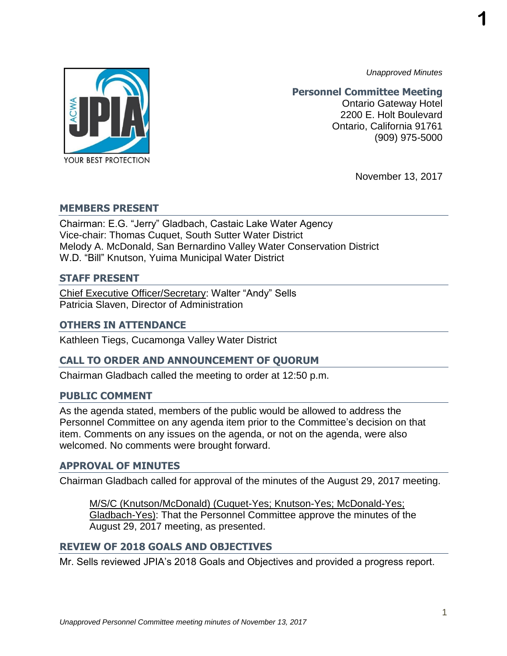*Unapproved Minutes*

**1**



**Personnel Committee Meeting** Ontario Gateway Hotel 2200 E. Holt Boulevard Ontario, California 91761 (909) 975-5000

November 13, 2017

## **MEMBERS PRESENT**

Chairman: E.G. "Jerry" Gladbach, Castaic Lake Water Agency Vice-chair: Thomas Cuquet, South Sutter Water District Melody A. McDonald, San Bernardino Valley Water Conservation District W.D. "Bill" Knutson, Yuima Municipal Water District

## **STAFF PRESENT**

Chief Executive Officer/Secretary: Walter "Andy" Sells Patricia Slaven, Director of Administration

## **OTHERS IN ATTENDANCE**

Kathleen Tiegs, Cucamonga Valley Water District

## **CALL TO ORDER AND ANNOUNCEMENT OF QUORUM**

Chairman Gladbach called the meeting to order at 12:50 p.m.

## **PUBLIC COMMENT**

As the agenda stated, members of the public would be allowed to address the Personnel Committee on any agenda item prior to the Committee's decision on that item. Comments on any issues on the agenda, or not on the agenda, were also welcomed. No comments were brought forward.

## **APPROVAL OF MINUTES**

Chairman Gladbach called for approval of the minutes of the August 29, 2017 meeting.

M/S/C (Knutson/McDonald) (Cuquet-Yes; Knutson-Yes; McDonald-Yes; Gladbach-Yes): That the Personnel Committee approve the minutes of the August 29, 2017 meeting, as presented.

## **REVIEW OF 2018 GOALS AND OBJECTIVES**

Mr. Sells reviewed JPIA's 2018 Goals and Objectives and provided a progress report.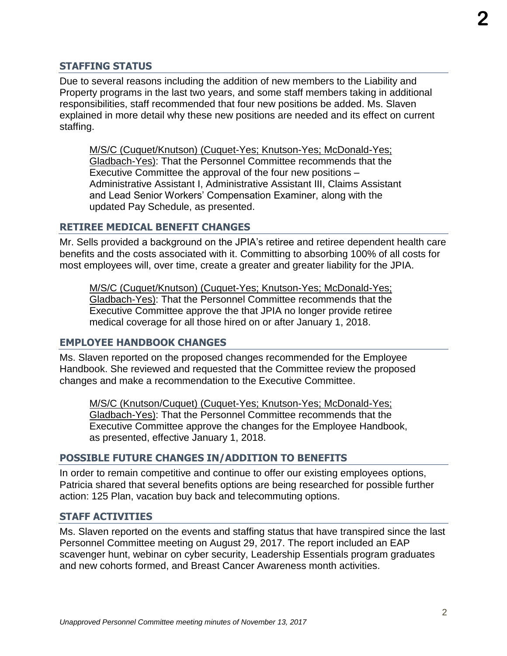## **STAFFING STATUS**

Due to several reasons including the addition of new members to the Liability and Property programs in the last two years, and some staff members taking in additional responsibilities, staff recommended that four new positions be added. Ms. Slaven explained in more detail why these new positions are needed and its effect on current staffing.

M/S/C (Cuquet/Knutson) (Cuquet-Yes; Knutson-Yes; McDonald-Yes; Gladbach-Yes): That the Personnel Committee recommends that the Executive Committee the approval of the four new positions – Administrative Assistant I, Administrative Assistant III, Claims Assistant and Lead Senior Workers' Compensation Examiner, along with the updated Pay Schedule, as presented.

## **RETIREE MEDICAL BENEFIT CHANGES**

Mr. Sells provided a background on the JPIA's retiree and retiree dependent health care benefits and the costs associated with it. Committing to absorbing 100% of all costs for most employees will, over time, create a greater and greater liability for the JPIA.

M/S/C (Cuquet/Knutson) (Cuquet-Yes; Knutson-Yes; McDonald-Yes; Gladbach-Yes): That the Personnel Committee recommends that the Executive Committee approve the that JPIA no longer provide retiree medical coverage for all those hired on or after January 1, 2018.

## **EMPLOYEE HANDBOOK CHANGES**

Ms. Slaven reported on the proposed changes recommended for the Employee Handbook. She reviewed and requested that the Committee review the proposed changes and make a recommendation to the Executive Committee.

M/S/C (Knutson/Cuquet) (Cuquet-Yes; Knutson-Yes; McDonald-Yes; Gladbach-Yes): That the Personnel Committee recommends that the Executive Committee approve the changes for the Employee Handbook, as presented, effective January 1, 2018.

## **POSSIBLE FUTURE CHANGES IN/ADDITION TO BENEFITS**

In order to remain competitive and continue to offer our existing employees options, Patricia shared that several benefits options are being researched for possible further action: 125 Plan, vacation buy back and telecommuting options.

## **STAFF ACTIVITIES**

Ms. Slaven reported on the events and staffing status that have transpired since the last Personnel Committee meeting on August 29, 2017. The report included an EAP scavenger hunt, webinar on cyber security, Leadership Essentials program graduates and new cohorts formed, and Breast Cancer Awareness month activities.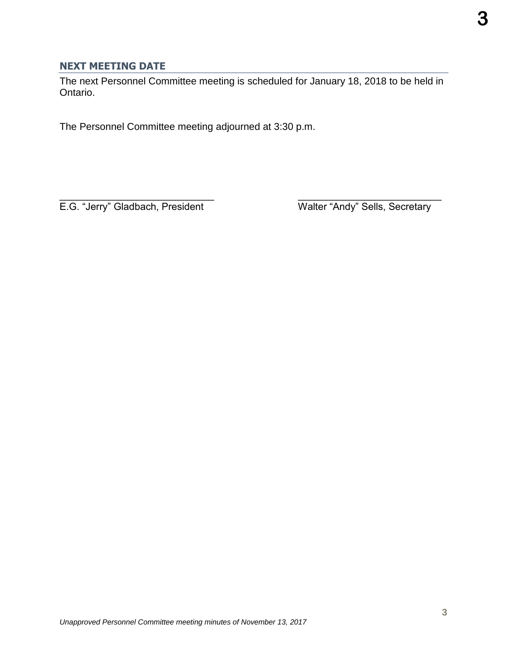## **NEXT MEETING DATE**

The next Personnel Committee meeting is scheduled for January 18, 2018 to be held in Ontario.

The Personnel Committee meeting adjourned at 3:30 p.m.

 $\overline{\phantom{a}}$  , and the contract of the contract of the contract of the contract of the contract of the contract of the contract of the contract of the contract of the contract of the contract of the contract of the contrac E.G. "Jerry" Gladbach, President Walter "Andy" Sells, Secretary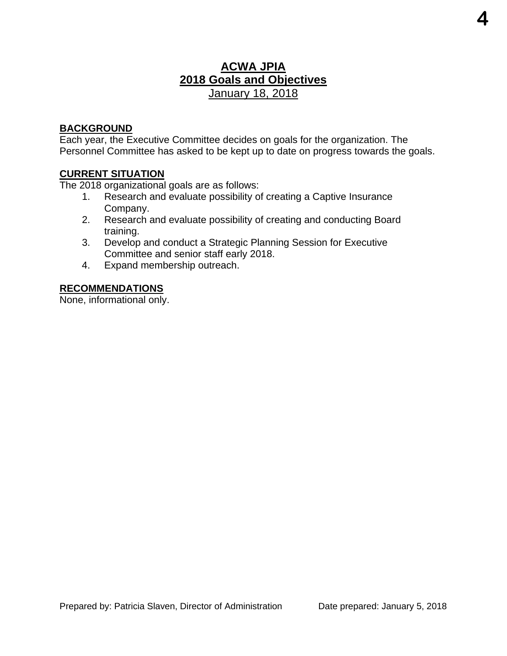## **ACWA JPIA 2018 Goals and Objectives**  January 18, 2018

## **BACKGROUND**

Each year, the Executive Committee decides on goals for the organization. The Personnel Committee has asked to be kept up to date on progress towards the goals.

## **CURRENT SITUATION**

The 2018 organizational goals are as follows:

- 1. Research and evaluate possibility of creating a Captive Insurance Company.
- 2. Research and evaluate possibility of creating and conducting Board training.
- 3. Develop and conduct a Strategic Planning Session for Executive Committee and senior staff early 2018.
- 4. Expand membership outreach.

## **RECOMMENDATIONS**

None, informational only.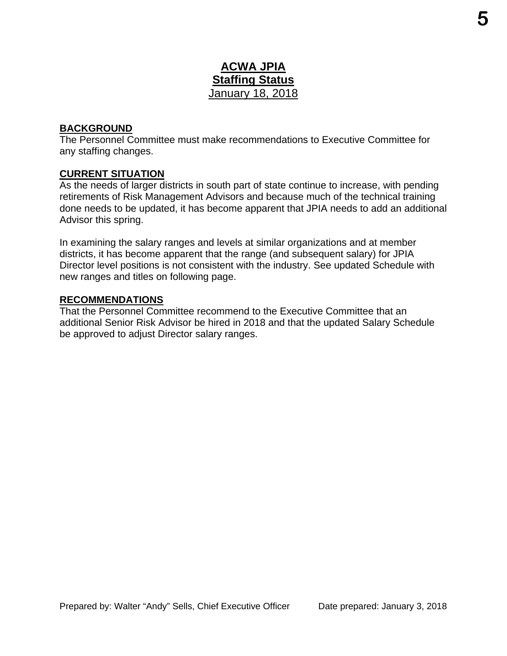## **ACWA JPIA Staffing Status**  January 18, 2018

## **BACKGROUND**

The Personnel Committee must make recommendations to Executive Committee for any staffing changes.

## **CURRENT SITUATION**

As the needs of larger districts in south part of state continue to increase, with pending retirements of Risk Management Advisors and because much of the technical training done needs to be updated, it has become apparent that JPIA needs to add an additional Advisor this spring.

In examining the salary ranges and levels at similar organizations and at member districts, it has become apparent that the range (and subsequent salary) for JPIA Director level positions is not consistent with the industry. See updated Schedule with new ranges and titles on following page.

#### **RECOMMENDATIONS**

That the Personnel Committee recommend to the Executive Committee that an additional Senior Risk Advisor be hired in 2018 and that the updated Salary Schedule be approved to adjust Director salary ranges.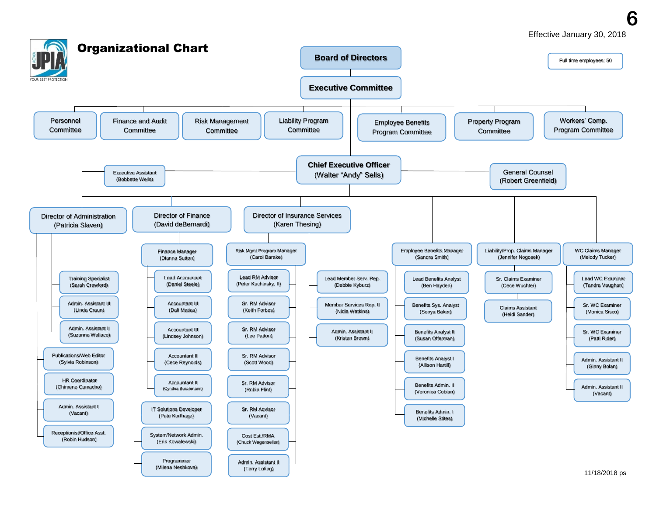**6**



11/18/2018 ps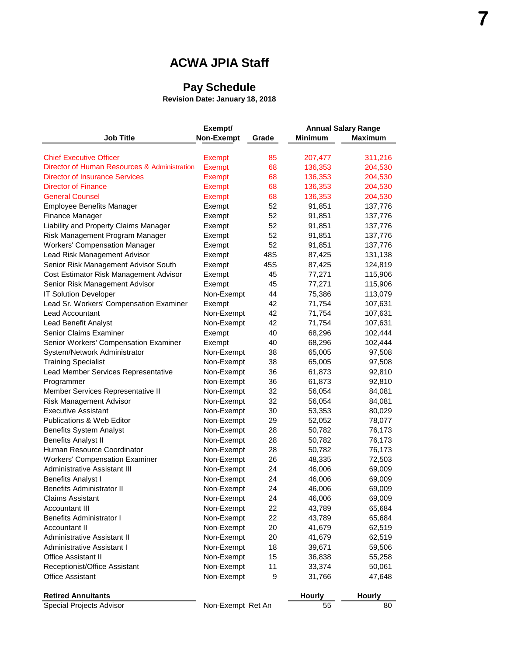# **ACWA JPIA Staff**

## **Pay Schedule**

**Revision Date: January 18, 2018**

|                                              | Exempt/           |       |               | <b>Annual Salary Range</b> |
|----------------------------------------------|-------------------|-------|---------------|----------------------------|
| Job Title                                    | Non-Exempt        | Grade | Minimum       | <b>Maximum</b>             |
|                                              |                   |       |               |                            |
| <b>Chief Executive Officer</b>               | Exempt            | 85    | 207,477       | 311,216                    |
| Director of Human Resources & Administration | <b>Exempt</b>     | 68    | 136,353       | 204,530                    |
| <b>Director of Insurance Services</b>        | <b>Exempt</b>     | 68    | 136,353       | 204,530                    |
| <b>Director of Finance</b>                   | <b>Exempt</b>     | 68    | 136,353       | 204,530                    |
| <b>General Counsel</b>                       | <b>Exempt</b>     | 68    | 136,353       | 204,530                    |
| <b>Employee Benefits Manager</b>             | Exempt            | 52    | 91,851        | 137,776                    |
| Finance Manager                              | Exempt            | 52    | 91,851        | 137,776                    |
| Liability and Property Claims Manager        | Exempt            | 52    | 91,851        | 137,776                    |
| Risk Management Program Manager              | Exempt            | 52    | 91,851        | 137,776                    |
| <b>Workers' Compensation Manager</b>         | Exempt            | 52    | 91,851        | 137,776                    |
| Lead Risk Management Advisor                 | Exempt            | 48S   | 87,425        | 131,138                    |
| Senior Risk Management Advisor South         | Exempt            | 45S   | 87,425        | 124,819                    |
| Cost Estimator Risk Management Advisor       | Exempt            | 45    | 77,271        | 115,906                    |
| Senior Risk Management Advisor               | Exempt            | 45    | 77,271        | 115,906                    |
| <b>IT Solution Developer</b>                 | Non-Exempt        | 44    | 75,386        | 113,079                    |
| Lead Sr. Workers' Compensation Examiner      | Exempt            | 42    | 71,754        | 107,631                    |
| Lead Accountant                              | Non-Exempt        | 42    | 71,754        | 107,631                    |
| Lead Benefit Analyst                         | Non-Exempt        | 42    | 71,754        | 107,631                    |
| Senior Claims Examiner                       | Exempt            | 40    | 68,296        | 102,444                    |
| Senior Workers' Compensation Examiner        | Exempt            | 40    | 68,296        | 102,444                    |
| System/Network Administrator                 | Non-Exempt        | 38    | 65,005        | 97,508                     |
| <b>Training Specialist</b>                   | Non-Exempt        | 38    | 65,005        | 97,508                     |
| Lead Member Services Representative          | Non-Exempt        | 36    | 61,873        | 92,810                     |
| Programmer                                   | Non-Exempt        | 36    | 61,873        | 92,810                     |
| Member Services Representative II            | Non-Exempt        | 32    | 56,054        | 84,081                     |
| Risk Management Advisor                      | Non-Exempt        | 32    | 56,054        | 84,081                     |
| <b>Executive Assistant</b>                   | Non-Exempt        | 30    | 53,353        | 80,029                     |
| <b>Publications &amp; Web Editor</b>         | Non-Exempt        | 29    | 52,052        | 78,077                     |
| <b>Benefits System Analyst</b>               | Non-Exempt        | 28    | 50,782        | 76,173                     |
| <b>Benefits Analyst II</b>                   | Non-Exempt        | 28    | 50,782        | 76,173                     |
| Human Resource Coordinator                   | Non-Exempt        | 28    | 50,782        | 76,173                     |
| <b>Workers' Compensation Examiner</b>        | Non-Exempt        | 26    | 48,335        | 72,503                     |
| Administrative Assistant III                 | Non-Exempt        | 24    | 46,006        | 69,009                     |
| <b>Benefits Analyst I</b>                    | Non-Exempt        | 24    | 46,006        | 69,009                     |
| <b>Benefits Administrator II</b>             | Non-Exempt        | 24    | 46,006        | 69,009                     |
| <b>Claims Assistant</b>                      | Non-Exempt        | 24    | 46,006        | 69,009                     |
| <b>Accountant III</b>                        | Non-Exempt        | 22    | 43,789        | 65,684                     |
| <b>Benefits Administrator I</b>              | Non-Exempt        | 22    | 43,789        | 65,684                     |
| Accountant II                                | Non-Exempt        | 20    | 41,679        | 62,519                     |
| Administrative Assistant II                  | Non-Exempt        | 20    | 41,679        | 62,519                     |
| Administrative Assistant I                   | Non-Exempt        | 18    | 39,671        | 59,506                     |
| Office Assistant II                          | Non-Exempt        | 15    | 36,838        | 55,258                     |
| Receptionist/Office Assistant                | Non-Exempt        | 11    | 33,374        | 50,061                     |
| <b>Office Assistant</b>                      | Non-Exempt        | 9     | 31,766        | 47,648                     |
|                                              |                   |       |               |                            |
| <b>Retired Annuitants</b>                    |                   |       | <b>Hourly</b> | Hourly                     |
| Special Projects Advisor                     | Non-Exempt Ret An |       | 55            | 80                         |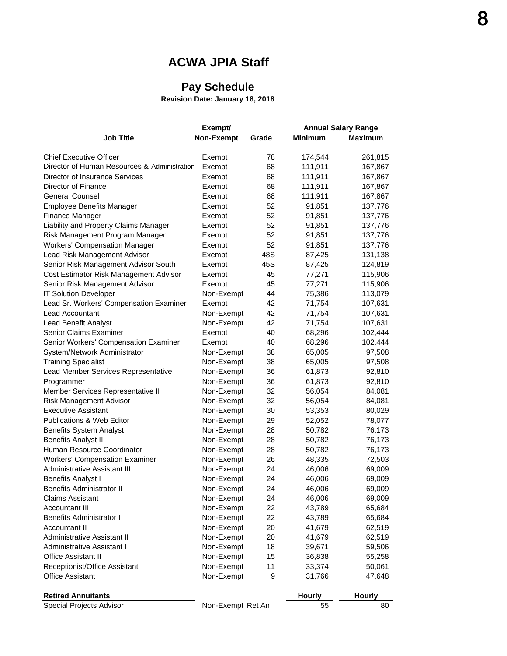## **ACWA JPIA Staff**

## **Pay Schedule**

**Revision Date: January 18, 2018**

|                                              | Exempt/           |       |                | <b>Annual Salary Range</b> |
|----------------------------------------------|-------------------|-------|----------------|----------------------------|
| <b>Job Title</b>                             | Non-Exempt        | Grade | <b>Minimum</b> | <b>Maximum</b>             |
|                                              |                   |       |                |                            |
| <b>Chief Executive Officer</b>               | Exempt            | 78    | 174,544        | 261,815                    |
| Director of Human Resources & Administration | Exempt            | 68    | 111,911        | 167,867                    |
| Director of Insurance Services               | Exempt            | 68    | 111,911        | 167,867                    |
| Director of Finance                          | Exempt            | 68    | 111,911        | 167,867                    |
| <b>General Counsel</b>                       | Exempt            | 68    | 111,911        | 167,867                    |
| <b>Employee Benefits Manager</b>             | Exempt            | 52    | 91,851         | 137,776                    |
| Finance Manager                              | Exempt            | 52    | 91,851         | 137,776                    |
| Liability and Property Claims Manager        | Exempt            | 52    | 91,851         | 137,776                    |
| Risk Management Program Manager              | Exempt            | 52    | 91,851         | 137,776                    |
| <b>Workers' Compensation Manager</b>         | Exempt            | 52    | 91,851         | 137,776                    |
| Lead Risk Management Advisor                 | Exempt            | 48S   | 87,425         | 131,138                    |
| Senior Risk Management Advisor South         | Exempt            | 45S   | 87,425         | 124,819                    |
| Cost Estimator Risk Management Advisor       | Exempt            | 45    | 77,271         | 115,906                    |
| Senior Risk Management Advisor               | Exempt            | 45    | 77,271         | 115,906                    |
| IT Solution Developer                        | Non-Exempt        | 44    | 75,386         | 113,079                    |
| Lead Sr. Workers' Compensation Examiner      | Exempt            | 42    | 71,754         | 107,631                    |
| Lead Accountant                              | Non-Exempt        | 42    | 71,754         | 107,631                    |
| Lead Benefit Analyst                         | Non-Exempt        | 42    | 71,754         | 107,631                    |
| Senior Claims Examiner                       | Exempt            | 40    | 68,296         | 102,444                    |
| Senior Workers' Compensation Examiner        | Exempt            | 40    | 68,296         | 102,444                    |
| System/Network Administrator                 | Non-Exempt        | 38    | 65,005         | 97,508                     |
| <b>Training Specialist</b>                   | Non-Exempt        | 38    | 65,005         | 97,508                     |
| Lead Member Services Representative          | Non-Exempt        | 36    | 61,873         | 92,810                     |
| Programmer                                   | Non-Exempt        | 36    | 61,873         | 92,810                     |
| Member Services Representative II            | Non-Exempt        | 32    | 56,054         | 84,081                     |
| Risk Management Advisor                      | Non-Exempt        | 32    | 56,054         | 84,081                     |
| <b>Executive Assistant</b>                   | Non-Exempt        | 30    | 53,353         | 80,029                     |
| <b>Publications &amp; Web Editor</b>         | Non-Exempt        | 29    | 52,052         | 78,077                     |
| <b>Benefits System Analyst</b>               | Non-Exempt        | 28    | 50,782         | 76,173                     |
| <b>Benefits Analyst II</b>                   | Non-Exempt        | 28    | 50,782         | 76,173                     |
| Human Resource Coordinator                   | Non-Exempt        | 28    | 50,782         | 76,173                     |
| <b>Workers' Compensation Examiner</b>        | Non-Exempt        | 26    | 48,335         | 72,503                     |
| Administrative Assistant III                 | Non-Exempt        | 24    | 46,006         | 69,009                     |
| <b>Benefits Analyst I</b>                    | Non-Exempt        | 24    | 46,006         | 69,009                     |
| <b>Benefits Administrator II</b>             | Non-Exempt        | 24    | 46,006         | 69,009                     |
|                                              |                   | 24    |                |                            |
| Claims Assistant<br><b>Accountant III</b>    | Non-Exempt        | 22    | 46,006         | 69,009<br>65,684           |
| <b>Benefits Administrator I</b>              | Non-Exempt        | 22    | 43,789         |                            |
|                                              | Non-Exempt        |       | 43,789         | 65,684                     |
| Accountant II                                | Non-Exempt        | 20    | 41,679         | 62,519                     |
| Administrative Assistant II                  | Non-Exempt        | 20    | 41,679         | 62,519                     |
| Administrative Assistant I                   | Non-Exempt        | 18    | 39,671         | 59,506                     |
| Office Assistant II                          | Non-Exempt        | 15    | 36,838         | 55,258                     |
| Receptionist/Office Assistant                | Non-Exempt        | 11    | 33,374         | 50,061                     |
| <b>Office Assistant</b>                      | Non-Exempt        | 9     | 31,766         | 47,648                     |
|                                              |                   |       |                |                            |
| <b>Retired Annuitants</b>                    |                   |       | <b>Hourly</b>  | <b>Hourly</b>              |
| Special Projects Advisor                     | Non-Exempt Ret An |       | 55             | 80                         |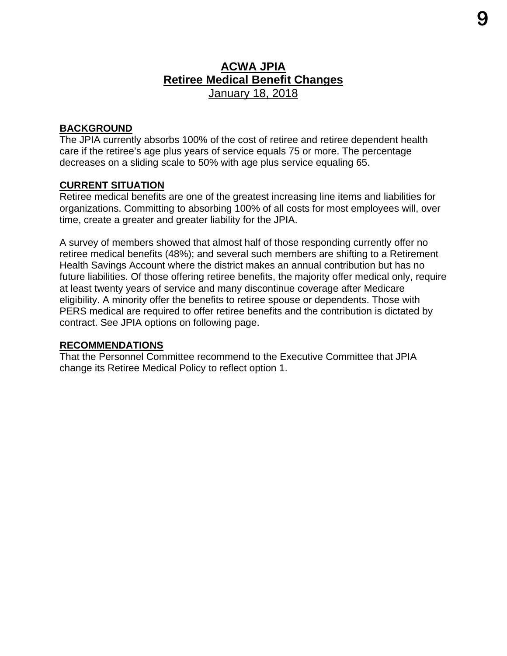## **ACWA JPIA Retiree Medical Benefit Changes**  January 18, 2018

## **BACKGROUND**

The JPIA currently absorbs 100% of the cost of retiree and retiree dependent health care if the retiree's age plus years of service equals 75 or more. The percentage decreases on a sliding scale to 50% with age plus service equaling 65.

## **CURRENT SITUATION**

Retiree medical benefits are one of the greatest increasing line items and liabilities for organizations. Committing to absorbing 100% of all costs for most employees will, over time, create a greater and greater liability for the JPIA.

A survey of members showed that almost half of those responding currently offer no retiree medical benefits (48%); and several such members are shifting to a Retirement Health Savings Account where the district makes an annual contribution but has no future liabilities. Of those offering retiree benefits, the majority offer medical only, require at least twenty years of service and many discontinue coverage after Medicare eligibility. A minority offer the benefits to retiree spouse or dependents. Those with PERS medical are required to offer retiree benefits and the contribution is dictated by contract. See JPIA options on following page.

## **RECOMMENDATIONS**

That the Personnel Committee recommend to the Executive Committee that JPIA change its Retiree Medical Policy to reflect option 1.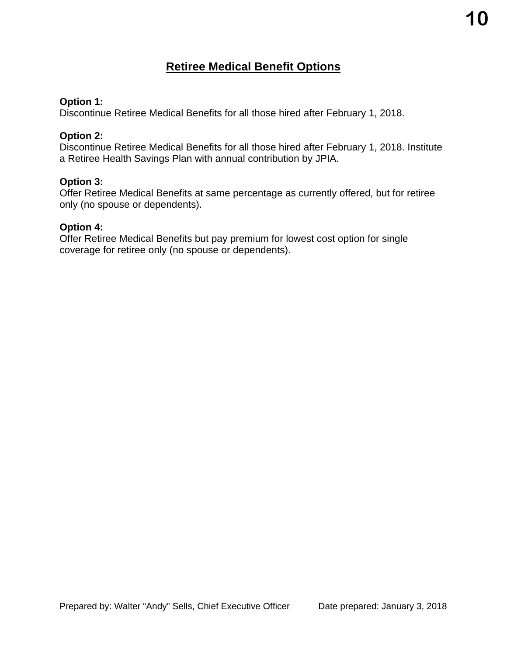## **Retiree Medical Benefit Options**

## **Option 1:**

Discontinue Retiree Medical Benefits for all those hired after February 1, 2018.

## **Option 2:**

Discontinue Retiree Medical Benefits for all those hired after February 1, 2018. Institute a Retiree Health Savings Plan with annual contribution by JPIA.

## **Option 3:**

Offer Retiree Medical Benefits at same percentage as currently offered, but for retiree only (no spouse or dependents).

## **Option 4:**

Offer Retiree Medical Benefits but pay premium for lowest cost option for single coverage for retiree only (no spouse or dependents).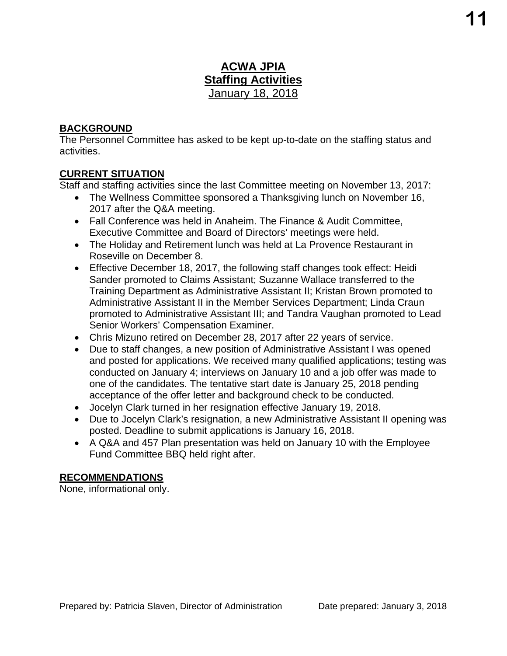## **ACWA JPIA Staffing Activities**  January 18, 2018

## **BACKGROUND**

The Personnel Committee has asked to be kept up-to-date on the staffing status and activities.

## **CURRENT SITUATION**

Staff and staffing activities since the last Committee meeting on November 13, 2017:

- The Wellness Committee sponsored a Thanksgiving lunch on November 16, 2017 after the Q&A meeting.
- Fall Conference was held in Anaheim. The Finance & Audit Committee, Executive Committee and Board of Directors' meetings were held.
- The Holiday and Retirement lunch was held at La Provence Restaurant in Roseville on December 8.
- Effective December 18, 2017, the following staff changes took effect: Heidi Sander promoted to Claims Assistant; Suzanne Wallace transferred to the Training Department as Administrative Assistant II; Kristan Brown promoted to Administrative Assistant II in the Member Services Department; Linda Craun promoted to Administrative Assistant III; and Tandra Vaughan promoted to Lead Senior Workers' Compensation Examiner.
- Chris Mizuno retired on December 28, 2017 after 22 years of service.
- Due to staff changes, a new position of Administrative Assistant I was opened and posted for applications. We received many qualified applications; testing was conducted on January 4; interviews on January 10 and a job offer was made to one of the candidates. The tentative start date is January 25, 2018 pending acceptance of the offer letter and background check to be conducted.
- Jocelyn Clark turned in her resignation effective January 19, 2018.
- Due to Jocelyn Clark's resignation, a new Administrative Assistant II opening was posted. Deadline to submit applications is January 16, 2018.
- A Q&A and 457 Plan presentation was held on January 10 with the Employee Fund Committee BBQ held right after.

## **RECOMMENDATIONS**

None, informational only.